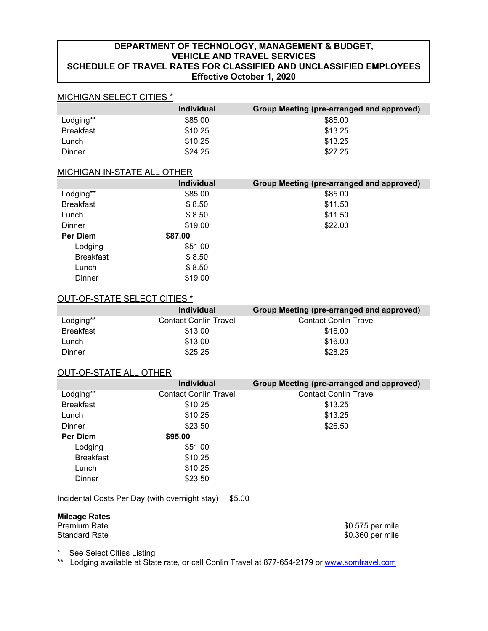# **DEPARTMENT OF TECHNOLOGY, MANAGEMENT & BUDGET, VEHICLE AND TRAVEL SERVICES SCHEDULE OF TRAVEL RATES FOR CLASSIFIED AND UNCLASSIFIED EMPLOYEES Effective October 1, 2020**

# MICHIGAN SELECT CITIES \*

|                  | <b>Individual</b> | Group Meeting (pre-arranged and approved) |
|------------------|-------------------|-------------------------------------------|
| Lodging**        | \$85.00           | \$85.00                                   |
| <b>Breakfast</b> | \$10.25           | \$13.25                                   |
| Lunch            | \$10.25           | \$13.25                                   |
| Dinner           | \$24.25           | \$27.25                                   |

### MICHIGAN IN-STATE ALL OTHER

|                  | <b>Individual</b> | Group Meeting (pre-arranged and approved) |
|------------------|-------------------|-------------------------------------------|
| Lodging**        | \$85.00           | \$85.00                                   |
| <b>Breakfast</b> | \$8.50            | \$11.50                                   |
| Lunch            | \$8.50            | \$11.50                                   |
| <b>Dinner</b>    | \$19.00           | \$22.00                                   |
| Per Diem         | \$87.00           |                                           |
| Lodging          | \$51.00           |                                           |
| <b>Breakfast</b> | \$8.50            |                                           |
| Lunch            | \$8.50            |                                           |
| Dinner           | \$19.00           |                                           |

## OUT-OF-STATE SELECT CITIES \*

|                  | <b>Individual</b>            | Group Meeting (pre-arranged and approved) |
|------------------|------------------------------|-------------------------------------------|
| Lodging**        | <b>Contact Conlin Travel</b> | <b>Contact Conlin Travel</b>              |
| <b>Breakfast</b> | \$13.00                      | \$16.00                                   |
| Lunch            | \$13.00                      | \$16.00                                   |
| Dinner           | \$25.25                      | \$28.25                                   |

### OUT-OF-STATE ALL OTHER

|                  | <b>Individual</b>            | Group Meeting (pre-arranged and approved) |
|------------------|------------------------------|-------------------------------------------|
| Lodging**        | <b>Contact Conlin Travel</b> | <b>Contact Conlin Travel</b>              |
| <b>Breakfast</b> | \$10.25                      | \$13.25                                   |
| Lunch            | \$10.25                      | \$13.25                                   |
| Dinner           | \$23.50                      | \$26.50                                   |
| <b>Per Diem</b>  | \$95,00                      |                                           |
| Lodging          | \$51.00                      |                                           |
| <b>Breakfast</b> | \$10.25                      |                                           |
| Lunch            | \$10.25                      |                                           |
| Dinner           | \$23.50                      |                                           |

Incidental Costs Per Day (with overnight stay) \$5.00

# **Mileage Rates**

Premium Rate \$0.575 per mile \$0.360 per mile

\* See Select Cities Listing

\*\* Lodging available at State rate, or call Conlin Travel at 877-654-2179 or [www.somtravel.com](http://www.somtravel.com/)